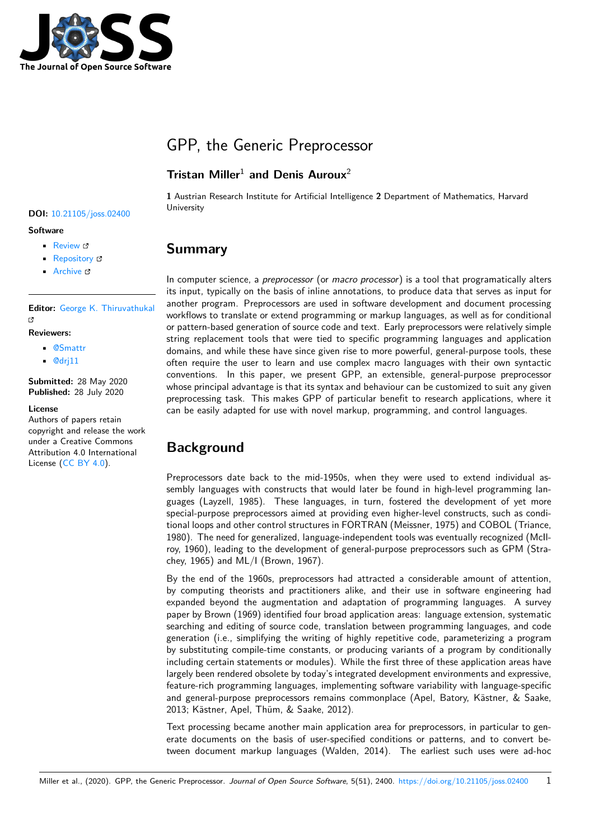

# GPP, the Generic Preprocessor

#### **Tristan Miller**<sup>1</sup> **and Denis Auroux**<sup>2</sup>

**DOI:** 10.21105/joss.02400

#### **Software**

- Review C
- [Repository](https://doi.org/10.21105/joss.02400) &
- Archive L'

**Editor:** [George K](https://github.com/logological/gpp.git). Thiruvathukal гł

#### **Reviewers:**

- @Smattr
- @[drj11](https://luc.edu/cs/people/ftfaculty/gkt.shtml)

**Submitted:** 28 May 2020 **Publi[shed:](https://github.com/Smattr)** 28 July 2020

#### **Licen[se](https://github.com/drj11)**

Authors of papers retain copyright and release the work under a Creative Commons Attribution 4.0 International License (CC BY 4.0).

**1** Austrian Research Institute for Artificial Intelligence **2** Department of Mathematics, Harvard University

#### **Summary**

In computer science, a *preprocessor* (or *macro processor*) is a tool that programatically alters its input, typically on the basis of inline annotations, to produce data that serves as input for another program. Preprocessors are used in software development and document processing workflows to translate or extend programming or markup languages, as well as for conditional or pattern-based generation of source code and text. Early preprocessors were relatively simple string replacement tools that were tied to specific programming languages and application domains, and while these have since given rise to more powerful, general-purpose tools, these often require the user to learn and use complex macro languages with their own syntactic conventions. In this paper, we present GPP, an extensible, general-purpose preprocessor whose principal advantage is that its syntax and behaviour can be customized to suit any given preprocessing task. This makes GPP of particular benefit to research applications, where it can be easily adapted for use with novel markup, programming, and control languages.

## **Background**

Preprocessors date back to the mid-1950s, when they were used to extend individual assembly languages with constructs that would later be found in high-level programming languages (Layzell, 1985). These languages, in turn, fostered the development of yet more special-purpose preprocessors aimed at providing even higher-level constructs, such as conditional loops and other control structures in FORTRAN (Meissner, 1975) and COBOL (Triance, 1980). The need for generalized, language-independent tools was eventually recognized (McIlroy, 1960), leading to the development of general-purpose preprocessors such as GPM (Strachey, 1965) and ML/I (Brown, 1967).

By the end of the 1960s, preprocessors had attracted a considerable amount of attention, by computing theorists and practitioners alike, and their use in software engineering had expanded beyond the augmentation and adaptation of programming languages. A survey paper by Brown (1969) identified four broad application areas: language extension, systematic searching and editing of source code, translation between programming languages, and code generation (i.e., simplifying the writing of highly repetitive code, parameterizing a program by substituting compile-time constants, or producing variants of a program by conditionally including certain statements or modules). While the first three of these application areas have largely been rendered obsolete by today's integrated development environments and expressive, feature-rich programming languages, implementing software variability with language-specific and general-purpose preprocessors remains commonplace (Apel, Batory, Kästner, & Saake, 2013; Kästner, Apel, Thüm, & Saake, 2012).

Text processing became another main application area for preprocessors, in particular to generate documents on the basis of user-specified conditions or patterns, and to convert between document markup languages (Walden, 2014). The earliest such uses were ad-hoc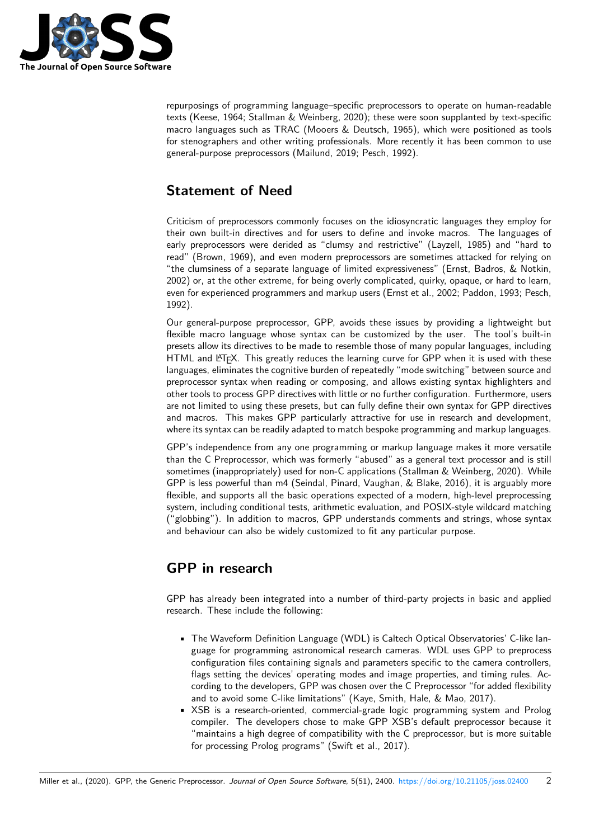

repurposings of programming language–specific preprocessors to operate on human-readable texts (Keese, 1964; Stallman & Weinberg, 2020); these were soon supplanted by text-specific macro languages such as TRAC (Mooers & Deutsch, 1965), which were positioned as tools for stenographers and other writing professionals. More recently it has been common to use general-purpose preprocessors (Mailund, 2019; Pesch, 1992).

## **Statement of Need**

Criticism of preprocessors commonly focuses on the idiosyncratic languages they employ for their own built-in directives and for users to define and invoke macros. The languages of early preprocessors were derided as "clumsy and restrictive" (Layzell, 1985) and "hard to read" (Brown, 1969), and even modern preprocessors are sometimes attacked for relying on "the clumsiness of a separate language of limited expressiveness" (Ernst, Badros, & Notkin, 2002) or, at the other extreme, for being overly complicated, quirky, opaque, or hard to learn, even for experienced programmers and markup users (Ernst et al., 2002; Paddon, 1993; Pesch, 1992).

Our general-purpose preprocessor, GPP, avoids these issues by providing a lightweight but flexible macro language whose syntax can be customized by the user. The tool's built-in presets allow its directives to be made to resemble those of many popular languages, including HTML and LATEX. This greatly reduces the learning curve for GPP when it is used with these languages, eliminates the cognitive burden of repeatedly "mode switching" between source and preprocessor syntax when reading or composing, and allows existing syntax highlighters and other tools to process GPP directives with little or no further configuration. Furthermore, users are not limited to using these presets, but can fully define their own syntax for GPP directives and macros. This makes GPP particularly attractive for use in research and development, where its syntax can be readily adapted to match bespoke programming and markup languages.

GPP's independence from any one programming or markup language makes it more versatile than the C Preprocessor, which was formerly "abused" as a general text processor and is still sometimes (inappropriately) used for non-C applications (Stallman & Weinberg, 2020). While GPP is less powerful than m4 (Seindal, Pinard, Vaughan, & Blake, 2016), it is arguably more flexible, and supports all the basic operations expected of a modern, high-level preprocessing system, including conditional tests, arithmetic evaluation, and POSIX-style wildcard matching ("globbing"). In addition to macros, GPP understands comments and strings, whose syntax and behaviour can also be widely customized to fit any particular purpose.

## **GPP in research**

GPP has already been integrated into a number of third-party projects in basic and applied research. These include the following:

- The Waveform Definition Language (WDL) is Caltech Optical Observatories' C-like language for programming astronomical research cameras. WDL uses GPP to preprocess configuration files containing signals and parameters specific to the camera controllers, flags setting the devices' operating modes and image properties, and timing rules. According to the developers, GPP was chosen over the C Preprocessor "for added flexibility and to avoid some C-like limitations" (Kaye, Smith, Hale, & Mao, 2017).
- XSB is a research-oriented, commercial-grade logic programming system and Prolog compiler. The developers chose to make GPP XSB's default preprocessor because it "maintains a high degree of compatibility with the C preprocessor, but is more suitable for processing Prolog programs" (Swift et al., 2017).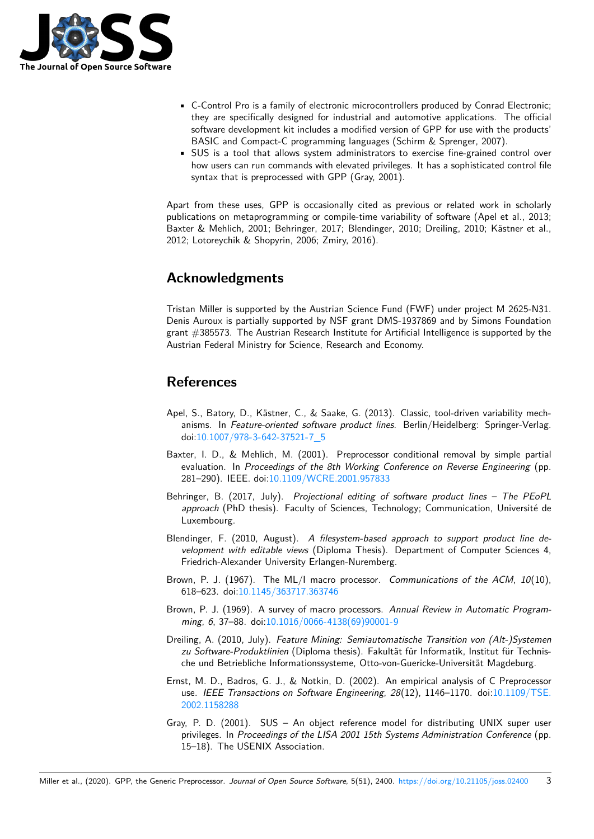

- C-Control Pro is a family of electronic microcontrollers produced by Conrad Electronic; they are specifically designed for industrial and automotive applications. The official software development kit includes a modified version of GPP for use with the products' BASIC and Compact-C programming languages (Schirm & Sprenger, 2007).
- SUS is a tool that allows system administrators to exercise fine-grained control over how users can run commands with elevated privileges. It has a sophisticated control file syntax that is preprocessed with GPP (Gray, 2001).

Apart from these uses, GPP is occasionally cited as previous or related work in scholarly publications on metaprogramming or compile-time variability of software (Apel et al., 2013; Baxter & Mehlich, 2001; Behringer, 2017; Blendinger, 2010; Dreiling, 2010; Kästner et al., 2012; Lotoreychik & Shopyrin, 2006; Zmiry, 2016).

### **Acknowledgments**

Tristan Miller is supported by the Austrian Science Fund (FWF) under project M 2625-N31. Denis Auroux is partially supported by NSF grant DMS-1937869 and by Simons Foundation grant #385573. The Austrian Research Institute for Artificial Intelligence is supported by the Austrian Federal Ministry for Science, Research and Economy.

## **References**

- Apel, S., Batory, D., Kästner, C., & Saake, G. (2013). Classic, tool-driven variability mechanisms. In *Feature-oriented software product lines*. Berlin/Heidelberg: Springer-Verlag. doi:10.1007/978-3-642-37521-7\_5
- Baxter, I. D., & Mehlich, M. (2001). Preprocessor conditional removal by simple partial evaluation. In *Proceedings of the 8th Working Conference on Reverse Engineering* (pp. 281[–290\). IEEE. doi:10.1109/WCR](https://doi.org/10.1007/978-3-642-37521-7_5)E.2001.957833
- Behringer, B. (2017, July). *Projectional editing of software product lines The PEoPL approach* (PhD thesis). Faculty of Sciences, Technology; Communication, Université de Luxembourg.
- Blendinger, F. (2010, August). *[A filesystem-based](https://doi.org/10.1109/WCRE.2001.957833) approach to support product line development with editable views* (Diploma Thesis). Department of Computer Sciences 4, Friedrich-Alexander University Erlangen-Nuremberg.
- Brown, P. J. (1967). The ML/I macro processor. *Communications of the ACM*, *10*(10), 618–623. doi:10.1145/363717.363746
- Brown, P. J. (1969). A survey of macro processors. *Annual Review in Automatic Programming*, *6*, 37–88. doi:10.1016/0066-4138(69)90001-9
- Dreiling, A. (2010, July). *[Feature Mining](https://doi.org/10.1145/363717.363746): Semiautomatische Transition von (Alt-)Systemen zu Software-Produktlinien* (Diploma thesis). Fakultät für Informatik, Institut für Technische und Betriebliche [Informationssysteme, Otto-von-](https://doi.org/10.1016/0066-4138(69)90001-9)Guericke-Universität Magdeburg.
- Ernst, M. D., Badros, G. J., & Notkin, D. (2002). An empirical analysis of C Preprocessor use. *IEEE Transactions on Software Engineering*, *28*(12), 1146–1170. doi:10.1109/TSE. 2002.1158288
- Gray, P. D. (2001). SUS An object reference model for distributing UNIX super user privileges. In *Proceedings of the LISA 2001 15th Systems Administration C[onference](https://doi.org/10.1109/TSE.2002.1158288)* (pp. [15–18\). The U](https://doi.org/10.1109/TSE.2002.1158288)SENIX Association.